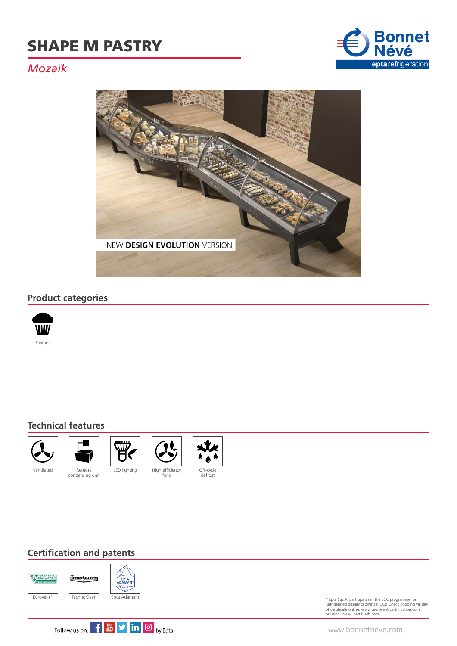

### *Mozaïk*



#### **Product categories**



#### **Technical features**











#### **Certification and patents**



\* Epta S.p.A. participates in the ECC programme for: Refrigerated display cabinets (RDC); Check ongoing validity of certificate online: www .eurovent-certifi cation.com or using: www .certifl ash.com



www.bonnetneve.com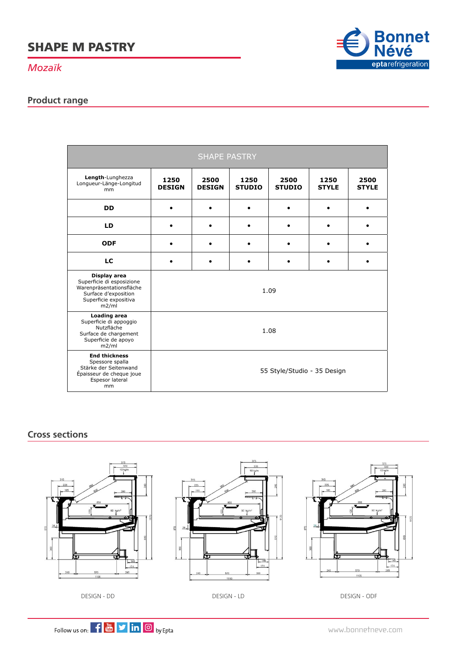*Mozaïk*

### **Product range**



| <b>SHAPE PASTRY</b>                                                                                                             |                             |                       |                       |                       |                      |                      |
|---------------------------------------------------------------------------------------------------------------------------------|-----------------------------|-----------------------|-----------------------|-----------------------|----------------------|----------------------|
| Length-Lunghezza<br>Longueur-Länge-Longitud<br>mm                                                                               | 1250<br><b>DESIGN</b>       | 2500<br><b>DESIGN</b> | 1250<br><b>STUDIO</b> | 2500<br><b>STUDIO</b> | 1250<br><b>STYLE</b> | 2500<br><b>STYLE</b> |
| <b>DD</b>                                                                                                                       |                             |                       |                       |                       |                      |                      |
| LD                                                                                                                              |                             |                       |                       | $\bullet$             |                      |                      |
| <b>ODF</b>                                                                                                                      |                             |                       |                       |                       |                      |                      |
| LC                                                                                                                              |                             |                       |                       |                       |                      |                      |
| Display area<br>Superficie di esposizione<br>Warenpräsentationsfläche<br>Surface d'exposition<br>Superficie expositiva<br>m2/ml | 1.09                        |                       |                       |                       |                      |                      |
| <b>Loading area</b><br>Superficie di appoggio<br>Nutzfläche<br>Surface de chargement<br>Superficie de apoyo<br>m2/ml            | 1.08                        |                       |                       |                       |                      |                      |
| <b>End thickness</b><br>Spessore spalla<br>Stärke der Seitenwand<br>Épaisseur de cheque joue<br>Espesor lateral<br>mm           | 55 Style/Studio - 35 Design |                       |                       |                       |                      |                      |

#### **Cross sections**



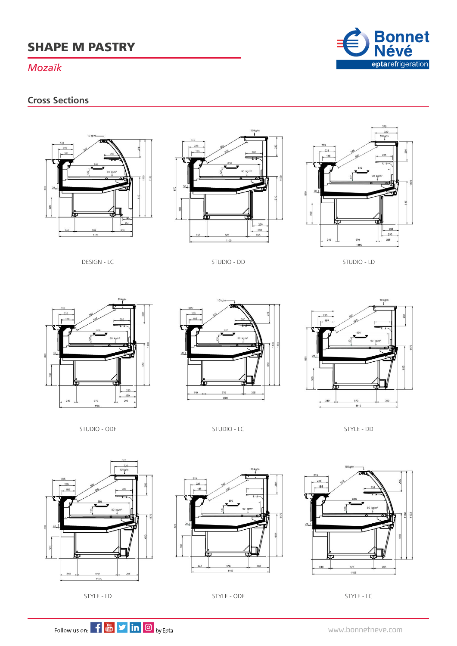#### *Mozaïk*

#### **Cross Sections**







DESIGN - LC

STUDIO - DD STUDIO - LD







STUDIO - LC



STYLE - DD